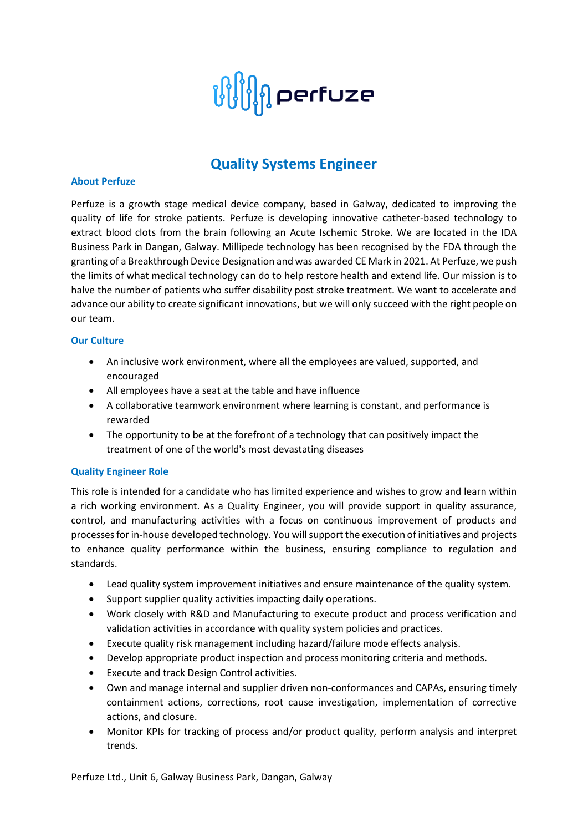

# **Quality Systems Engineer**

#### **About Perfuze**

Perfuze is a growth stage medical device company, based in Galway, dedicated to improving the quality of life for stroke patients. Perfuze is developing innovative catheter-based technology to extract blood clots from the brain following an Acute Ischemic Stroke. We are located in the IDA Business Park in Dangan, Galway. Millipede technology has been recognised by the FDA through the granting of a Breakthrough Device Designation and was awarded CE Mark in 2021. At Perfuze, we push the limits of what medical technology can do to help restore health and extend life. Our mission is to halve the number of patients who suffer disability post stroke treatment. We want to accelerate and advance our ability to create significant innovations, but we will only succeed with the right people on our team.

#### **Our Culture**

- An inclusive work environment, where all the employees are valued, supported, and encouraged
- All employees have a seat at the table and have influence
- A collaborative teamwork environment where learning is constant, and performance is rewarded
- The opportunity to be at the forefront of a technology that can positively impact the treatment of one of the world's most devastating diseases

#### **Quality Engineer Role**

This role is intended for a candidate who has limited experience and wishes to grow and learn within a rich working environment. As a Quality Engineer, you will provide support in quality assurance, control, and manufacturing activities with a focus on continuous improvement of products and processes for in-house developed technology. You will support the execution of initiatives and projects to enhance quality performance within the business, ensuring compliance to regulation and standards.

- Lead quality system improvement initiatives and ensure maintenance of the quality system.
- Support supplier quality activities impacting daily operations.
- Work closely with R&D and Manufacturing to execute product and process verification and validation activities in accordance with quality system policies and practices.
- Execute quality risk management including hazard/failure mode effects analysis.
- Develop appropriate product inspection and process monitoring criteria and methods.
- Execute and track Design Control activities.
- Own and manage internal and supplier driven non-conformances and CAPAs, ensuring timely containment actions, corrections, root cause investigation, implementation of corrective actions, and closure.
- Monitor KPIs for tracking of process and/or product quality, perform analysis and interpret trends.